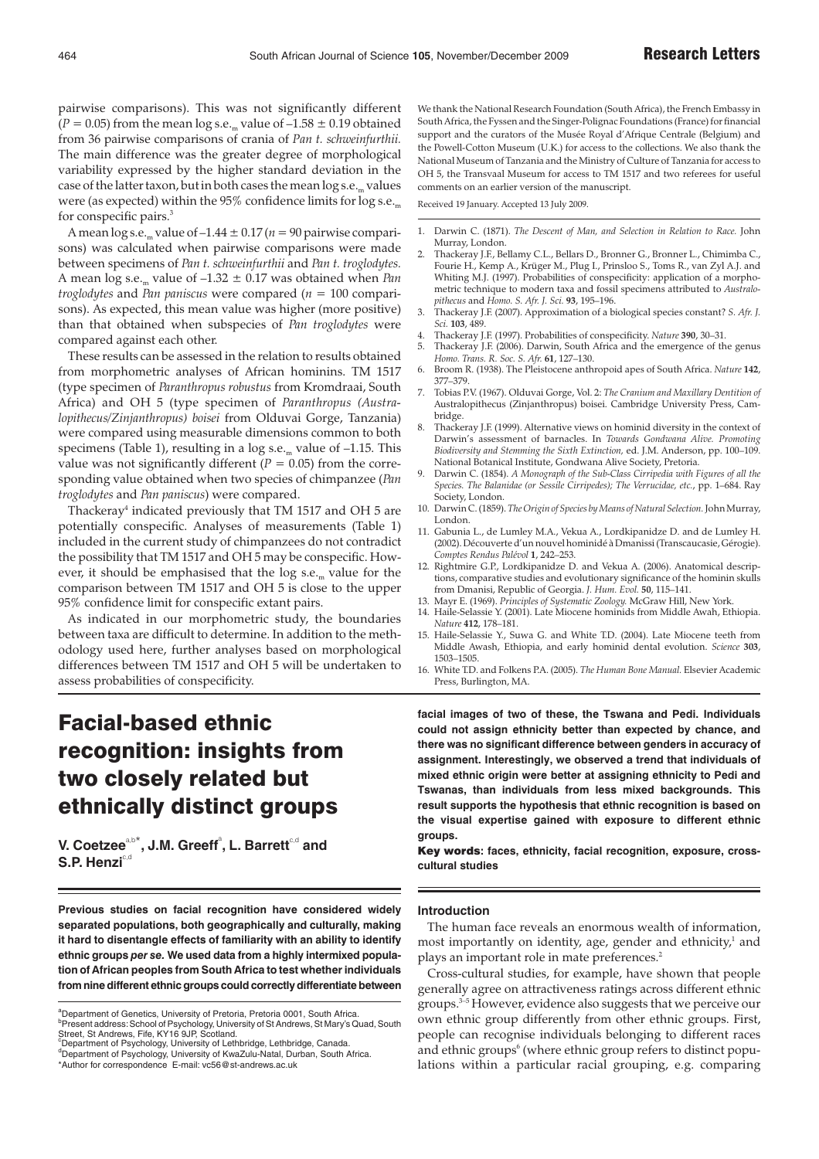# Facial-based ethnic recognition: insights from two closely related but ethnically distinct groups

 $V$ . Coetzee $a,b^*$ , J.M. Greeff $^a$ , L. Barrett $^{c,d}$  and **S.P. Henzi**c,d

**Previous studies on facial recognition have considered widely separated populations, both geographically and culturally, making it hard to disentangle effects of familiarity with an ability to identify ethnic groups** *per se.* **We used data from a highly intermixed population of African peoples from South Africa to test whether individuals from nine different ethnic groups could correctly differentiate between** **facial images of two of these, the Tswana and Pedi. Individuals could not assign ethnicity better than expected by chance, and there was no significant difference between genders in accuracy of assignment. Interestingly, we observed a trend that individuals of mixed ethnic origin were better at assigning ethnicity to Pedi and Tswanas, than individuals from less mixed backgrounds. This result supports the hypothesis that ethnic recognition is based on the visual expertise gained with exposure to different ethnic groups.**

Key words**: faces, ethnicity, facial recognition, exposure, crosscultural studies**

## **Introduction**

The human face reveals an enormous wealth of information, most importantly on identity, age, gender and ethnicity, $\frac{1}{1}$  and plays an important role in mate preferences.<sup>2</sup>

Cross-cultural studies, for example, have shown that people generally agree on attractiveness ratings across different ethnic groups.3–5 However, evidence also suggests that we perceive our own ethnic group differently from other ethnic groups. First, people can recognise individuals belonging to different races and ethnic groups<sup>6</sup> (where ethnic group refers to distinct populations within a particular racial grouping, e.g. comparing

<sup>&</sup>lt;sup>a</sup>Department of Genetics, University of Pretoria, Pretoria 0001, South Africa. <sup>b</sup>Present address: School of Psychology, University of St Andrews, St Mary's Quad, South Street, St Andrews, Fife, KY16 9JP, Scotland. <sup>c</sup>Department of Psychology, University of Lethbridge, Lethbridge, Canada. <sup>d</sup>Department of Psychology, University of KwaZulu-Natal, Durban, South Africa. \*Author for correspondence E-mail: vc56@st-andrews.ac.uk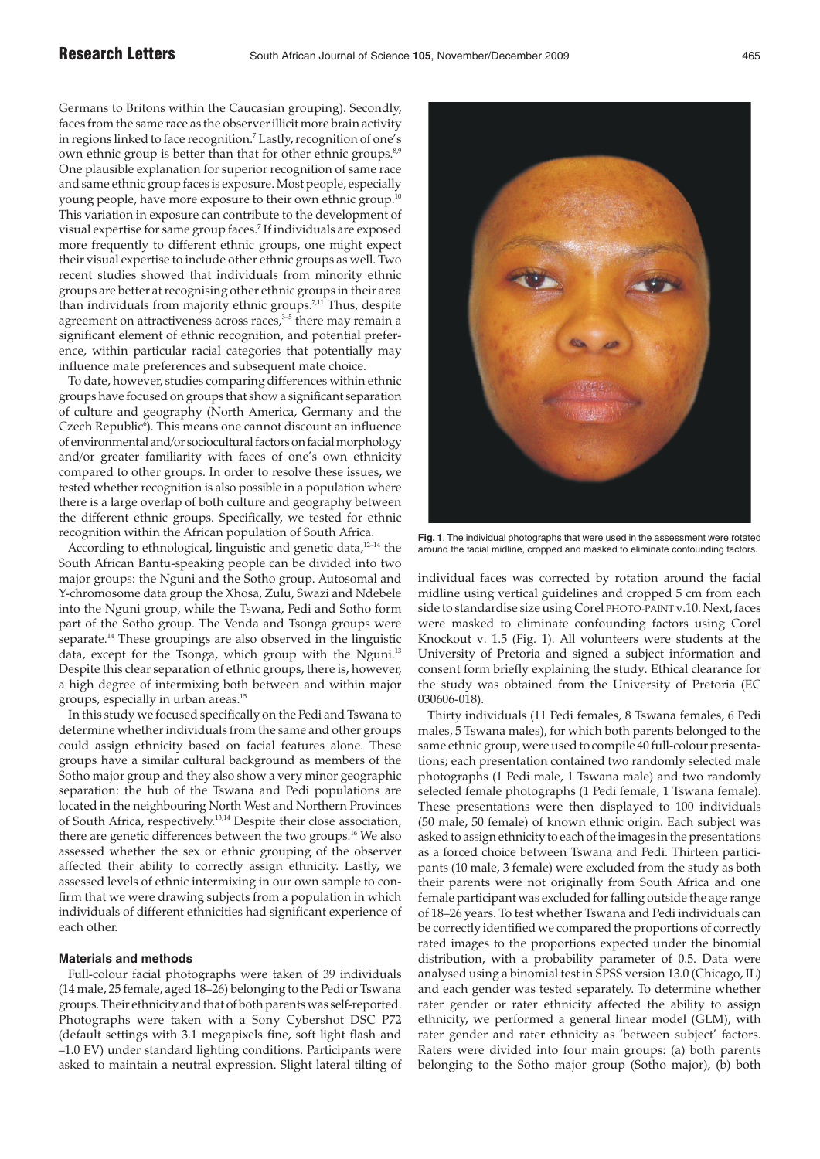Germans to Britons within the Caucasian grouping). Secondly, faces from the same race as the observer illicit more brain activity in regions linked to face recognition.<sup>7</sup> Lastly, recognition of one's own ethnic group is better than that for other ethnic groups.<sup>8,9</sup> One plausible explanation for superior recognition of same race and same ethnic group faces is exposure. Most people, especially young people, have more exposure to their own ethnic group. This variation in exposure can contribute to the development of visual expertise for same group faces.7 If individuals are exposed more frequently to different ethnic groups, one might expect their visual expertise to include other ethnic groups as well. Two recent studies showed that individuals from minority ethnic groups are better at recognising other ethnic groups in their area than individuals from majority ethnic groups.<sup>7,11</sup> Thus, despite agreement on attractiveness across races, $3-5$  there may remain a significant element of ethnic recognition, and potential preference, within particular racial categories that potentially may influence mate preferences and subsequent mate choice.

To date, however, studies comparing differences within ethnic groups have focused on groups that show a significant separation of culture and geography (North America, Germany and the Czech Republic<sup>6</sup>). This means one cannot discount an influence of environmental and/or sociocultural factors on facial morphology and/or greater familiarity with faces of one's own ethnicity compared to other groups. In order to resolve these issues, we tested whether recognition is also possible in a population where there is a large overlap of both culture and geography between the different ethnic groups. Specifically, we tested for ethnic recognition within the African population of South Africa.

According to ethnological, linguistic and genetic data,<sup>12-14</sup> the South African Bantu-speaking people can be divided into two major groups: the Nguni and the Sotho group. Autosomal and Y-chromosome data group the Xhosa, Zulu, Swazi and Ndebele into the Nguni group, while the Tswana, Pedi and Sotho form part of the Sotho group. The Venda and Tsonga groups were separate.<sup>14</sup> These groupings are also observed in the linguistic data, except for the Tsonga, which group with the Nguni.<sup>13</sup> Despite this clear separation of ethnic groups, there is, however, a high degree of intermixing both between and within major groups, especially in urban areas.15

In this study we focused specifically on the Pedi and Tswana to determine whether individuals from the same and other groups could assign ethnicity based on facial features alone. These groups have a similar cultural background as members of the Sotho major group and they also show a very minor geographic separation: the hub of the Tswana and Pedi populations are located in the neighbouring North West and Northern Provinces of South Africa, respectively.13,14 Despite their close association, there are genetic differences between the two groups.16 We also assessed whether the sex or ethnic grouping of the observer affected their ability to correctly assign ethnicity. Lastly, we assessed levels of ethnic intermixing in our own sample to confirm that we were drawing subjects from a population in which individuals of different ethnicities had significant experience of each other.

## **Materials and methods**

Full-colour facial photographs were taken of 39 individuals (14 male, 25 female, aged 18–26) belonging to the Pedi or Tswana groups. Their ethnicity and that of both parents was self-reported. Photographs were taken with a Sony Cybershot DSC P72 (default settings with 3.1 megapixels fine, soft light flash and –1.0 EV) under standard lighting conditions. Participants were asked to maintain a neutral expression. Slight lateral tilting of



**Fig. 1**. The individual photographs that were used in the assessment were rotated around the facial midline, cropped and masked to eliminate confounding factors.

individual faces was corrected by rotation around the facial midline using vertical guidelines and cropped 5 cm from each side to standardise size using Corel PHOTO-PAINT v.10. Next, faces were masked to eliminate confounding factors using Corel Knockout v. 1.5 (Fig. 1). All volunteers were students at the University of Pretoria and signed a subject information and consent form briefly explaining the study. Ethical clearance for the study was obtained from the University of Pretoria (EC 030606-018).

Thirty individuals (11 Pedi females, 8 Tswana females, 6 Pedi males, 5 Tswana males), for which both parents belonged to the same ethnic group, were used to compile 40 full-colour presentations; each presentation contained two randomly selected male photographs (1 Pedi male, 1 Tswana male) and two randomly selected female photographs (1 Pedi female, 1 Tswana female). These presentations were then displayed to 100 individuals (50 male, 50 female) of known ethnic origin. Each subject was asked to assign ethnicity to each of the images in the presentations as a forced choice between Tswana and Pedi. Thirteen participants (10 male, 3 female) were excluded from the study as both their parents were not originally from South Africa and one female participant was excluded for falling outside the age range of 18–26 years. To test whether Tswana and Pedi individuals can be correctly identified we compared the proportions of correctly rated images to the proportions expected under the binomial distribution, with a probability parameter of 0.5. Data were analysed using a binomial test in SPSS version 13.0 (Chicago, IL) and each gender was tested separately. To determine whether rater gender or rater ethnicity affected the ability to assign ethnicity, we performed a general linear model (GLM), with rater gender and rater ethnicity as 'between subject' factors. Raters were divided into four main groups: (a) both parents belonging to the Sotho major group (Sotho major), (b) both